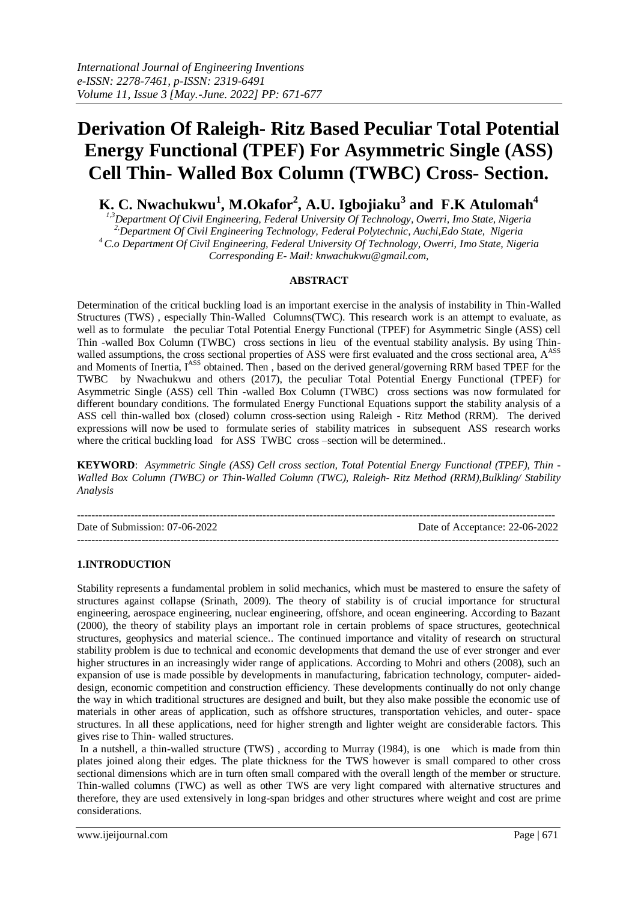# **Derivation Of Raleigh- Ritz Based Peculiar Total Potential Energy Functional (TPEF) For Asymmetric Single (ASS) Cell Thin- Walled Box Column (TWBC) Cross- Section.**

**K. C. Nwachukwu<sup>1</sup> , M.Okafor<sup>2</sup> , A.U. Igbojiaku<sup>3</sup> and F.K Atulomah<sup>4</sup>**

*1,3Department Of Civil Engineering, Federal University Of Technology, Owerri, Imo State, Nigeria 2,Department Of Civil Engineering Technology, Federal Polytechnic, Auchi,Edo State, Nigeria <sup>4</sup> C.o Department Of Civil Engineering, Federal University Of Technology, Owerri, Imo State, Nigeria Corresponding E- Mail: [knwachukwu@gmail.com,](mailto:knwachukwu@gmail.com)* 

## **ABSTRACT**

Determination of the critical buckling load is an important exercise in the analysis of instability in Thin-Walled Structures (TWS) , especially Thin-Walled Columns(TWC). This research work is an attempt to evaluate, as well as to formulate the peculiar Total Potential Energy Functional (TPEF) for Asymmetric Single (ASS) cell Thin -walled Box Column (TWBC) cross sections in lieu of the eventual stability analysis. By using Thinwalled assumptions, the cross sectional properties of ASS were first evaluated and the cross sectional area, A<sup>ASS</sup> and Moments of Inertia, IASS obtained. Then, based on the derived general/governing RRM based TPEF for the TWBC by Nwachukwu and others (2017), the peculiar Total Potential Energy Functional (TPEF) for Asymmetric Single (ASS) cell Thin -walled Box Column (TWBC) cross sections was now formulated for different boundary conditions. The formulated Energy Functional Equations support the stability analysis of a ASS cell thin-walled box (closed) column cross-section using Raleigh - Ritz Method (RRM). The derived expressions will now be used to formulate series of stability matrices in subsequent ASS research works where the critical buckling load for ASS TWBC cross –section will be determined..

**KEYWORD**: *Asymmetric Single (ASS) Cell cross section, Total Potential Energy Functional (TPEF), Thin - Walled Box Column (TWBC) or Thin-Walled Column (TWC), Raleigh- Ritz Method (RRM),Bulkling/ Stability Analysis*

-------------------------------------------------------------------------------------------------------------------------------------- Date of Submission: 07-06-2022 Date of Acceptance: 22-06-2022 ---------------------------------------------------------------------------------------------------------------------------------------

## **1.INTRODUCTION**

Stability represents a fundamental problem in solid mechanics, which must be mastered to ensure the safety of structures against collapse (Srinath, 2009). The theory of stability is of crucial importance for structural engineering, aerospace engineering, nuclear engineering, offshore, and ocean engineering. According to Bazant (2000), the theory of stability plays an important role in certain problems of space structures, geotechnical structures, geophysics and material science.. The continued importance and vitality of research on structural stability problem is due to technical and economic developments that demand the use of ever stronger and ever higher structures in an increasingly wider range of applications. According to Mohri and others (2008), such an expansion of use is made possible by developments in manufacturing, fabrication technology, computer- aideddesign, economic competition and construction efficiency. These developments continually do not only change the way in which traditional structures are designed and built, but they also make possible the economic use of materials in other areas of application, such as offshore structures, transportation vehicles, and outer- space structures. In all these applications, need for higher strength and lighter weight are considerable factors. This gives rise to Thin- walled structures.

In a nutshell, a thin-walled structure (TWS) , according to Murray (1984), is one which is made from thin plates joined along their edges. The plate thickness for the TWS however is small compared to other cross sectional dimensions which are in turn often small compared with the overall length of the member or structure. Thin-walled columns (TWC) as well as other TWS are very light compared with alternative structures and therefore, they are used extensively in long-span bridges and other structures where weight and cost are prime considerations.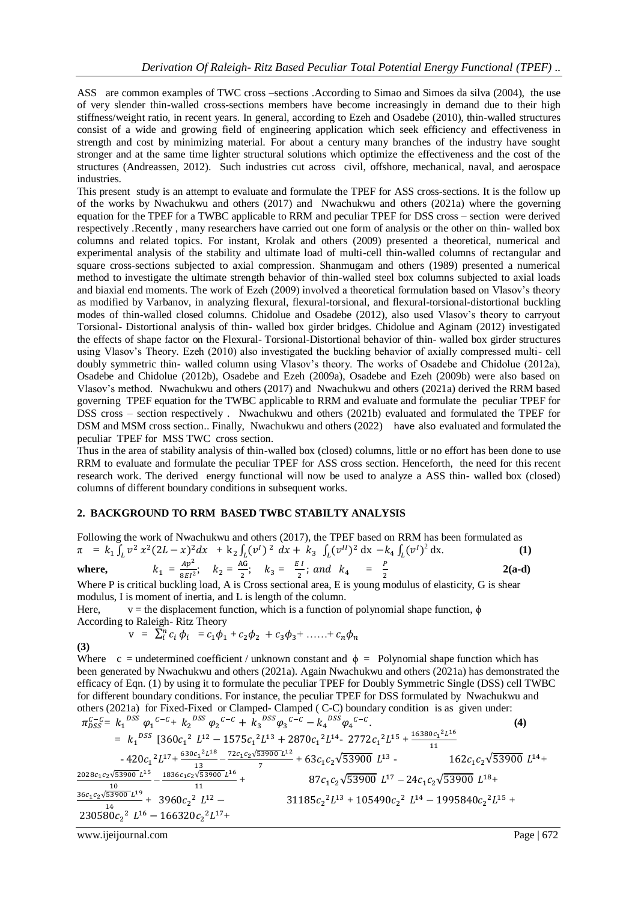ASS are common examples of TWC cross –sections .According to Simao and Simoes da silva (2004), the use of very slender thin-walled cross-sections members have become increasingly in demand due to their high stiffness/weight ratio, in recent years. In general, according to Ezeh and Osadebe (2010), thin-walled structures consist of a wide and growing field of engineering application which seek efficiency and effectiveness in strength and cost by minimizing material. For about a century many branches of the industry have sought stronger and at the same time lighter structural solutions which optimize the effectiveness and the cost of the structures (Andreassen, 2012). Such industries cut across civil, offshore, mechanical, naval, and aerospace industries.

This present study is an attempt to evaluate and formulate the TPEF for ASS cross-sections. It is the follow up of the works by Nwachukwu and others (2017) and Nwachukwu and others (2021a) where the governing equation for the TPEF for a TWBC applicable to RRM and peculiar TPEF for DSS cross – section were derived respectively .Recently , many researchers have carried out one form of analysis or the other on thin- walled box columns and related topics. For instant, Krolak and others (2009) presented a theoretical, numerical and experimental analysis of the stability and ultimate load of multi-cell thin-walled columns of rectangular and square cross-sections subjected to axial compression. Shanmugam and others (1989) presented a numerical method to investigate the ultimate strength behavior of thin-walled steel box columns subjected to axial loads and biaxial end moments. The work of Ezeh (2009) involved a theoretical formulation based on Vlasov's theory as modified by Varbanov, in analyzing flexural, flexural-torsional, and flexural-torsional-distortional buckling modes of thin-walled closed columns. Chidolue and Osadebe (2012), also used Vlasov's theory to carryout Torsional- Distortional analysis of thin- walled box girder bridges. Chidolue and Aginam (2012) investigated the effects of shape factor on the Flexural- Torsional-Distortional behavior of thin- walled box girder structures using Vlasov's Theory. Ezeh (2010) also investigated the buckling behavior of axially compressed multi- cell doubly symmetric thin- walled column using Vlasov's theory. The works of Osadebe and Chidolue (2012a), Osadebe and Chidolue (2012b), Osadebe and Ezeh (2009a), Osadebe and Ezeh (2009b) were also based on Vlasov's method. Nwachukwu and others (2017) and Nwachukwu and others (2021a) derived the RRM based governing TPEF equation for the TWBC applicable to RRM and evaluate and formulate the peculiar TPEF for DSS cross – section respectively . Nwachukwu and others (2021b) evaluated and formulated the TPEF for DSM and MSM cross section.. Finally, Nwachukwu and others (2022) have also evaluated and formulated the peculiar TPEF for MSS TWC cross section.

Thus in the area of stability analysis of thin-walled box (closed) columns, little or no effort has been done to use RRM to evaluate and formulate the peculiar TPEF for ASS cross section. Henceforth, the need for this recent research work. The derived energy functional will now be used to analyze a ASS thin- walled box (closed) columns of different boundary conditions in subsequent works.

### **2. BACKGROUND TO RRM BASED TWBC STABILTY ANALYSIS**

Following the work of Nwachukwu and others (2017), the TPEF based on RRM has been formulated as  $\pi$  =  $k_1 \int_L v^2 x^2 (2L - x)^2 dx$  +  $k_2 \int_L (v^1)^2 dx + k_3 \int_L (v^1)^2 dx - k_4 \int_L (v^1)^2 dx$  $2 dx.$  (1)

where, 
$$
k_1 = \frac{Ap^2}{8EI^2}
$$
;  $k_2 = \frac{AG}{2}$ ;  $k_3 = \frac{EI}{2}$ ; and  $k_4 = \frac{P}{2}$  (a-d)  
When P is critical building lead. A is Green, satisfied are a F is even, including of elasticity. C is chosen.

Where P is critical buckling load, A is Cross sectional area, E is young modulus of elasticity, G is shear modulus, I is moment of inertia, and L is length of the column.

Here, v = the displacement function, which is a function of polynomial shape function,  $\phi$ According to Raleigh- Ritz Theory

(3) 
$$
v = \sum_{i}^{n} c_{i} \phi_{i} = c_{1} \phi_{1} + c_{2} \phi_{2} + c_{3} \phi_{3} + \ldots + c_{n} \phi_{n}
$$

Where c = undetermined coefficient / unknown constant and  $\phi$  = Polynomial shape function which has been generated by Nwachukwu and others (2021a). Again Nwachukwu and others (2021a) has demonstrated the efficacy of Eqn. (1) by using it to formulate the peculiar TPEF for Doubly Symmetric Single (DSS) cell TWBC for different boundary conditions. For instance, the peculiar TPEF for DSS formulated by Nwachukwu and others (2021a) for Fixed-Fixed or Clamped- Clamped ( C-C) boundary condition is as given under:

$$
\pi_{DSS}^{C-C} = k_1^{DSS} \varphi_1^{C-C} + k_2^{DSS} \varphi_2^{C-C} + k_3^{DSS} \varphi_3^{C-C} - k_4^{DSS} \varphi_4^{C-C}.
$$
\n
$$
= k_1^{DSS} \left[ 360c_1^2 L^{12} - 1575c_1^2 L^{13} + 2870c_1^2 L^{14} - 2772c_1^2 L^{15} + \frac{16380c_1^2 L^{16}}{11} \right.
$$
\n
$$
-420c_1^2 L^{17} + \frac{630c_1^2 L^{18}}{13} - \frac{72c_1c_2\sqrt{53900} L^{12}}{7} + 63c_1c_2\sqrt{53900} L^{13} - \frac{162c_1c_2\sqrt{53900} L^{14} + \frac{2028c_1c_2\sqrt{53900} L^{15}}{11} - \frac{1836c_1c_2\sqrt{53900} L^{16}}{11} + \frac{87c_1c_2\sqrt{53900} L^{17} - 24c_1c_2\sqrt{53900} L^{18} + \frac{36c_1c_2\sqrt{53900} L^{19}}{14} + \frac{3960c_2^2 L^{12} - \frac{11836c_2^2 L^{13} + 105490c_2^2 L^{14} - 1995840c_2^2 L^{15} + \frac{230580c_2^2 L^{16} - 166320c_2^2 L^{17} + \frac{1186c_2^2 L^{17} + 105490c_2^2 L^{14} - 1995840c_2^2 L^{15} + \frac{1186c_2^2 L^{16} - 166320c_2^2 L^{17} + \frac{1186c_2^2 L^{17} + 105490c_2^2 L^{18} - 166320c_2^2 L^{17} + \frac{1186c_1^2 L^{18} - 166320c_2^2 L^{17} + \frac{1186c_1^
$$

www.ijeijournal.com Page | 672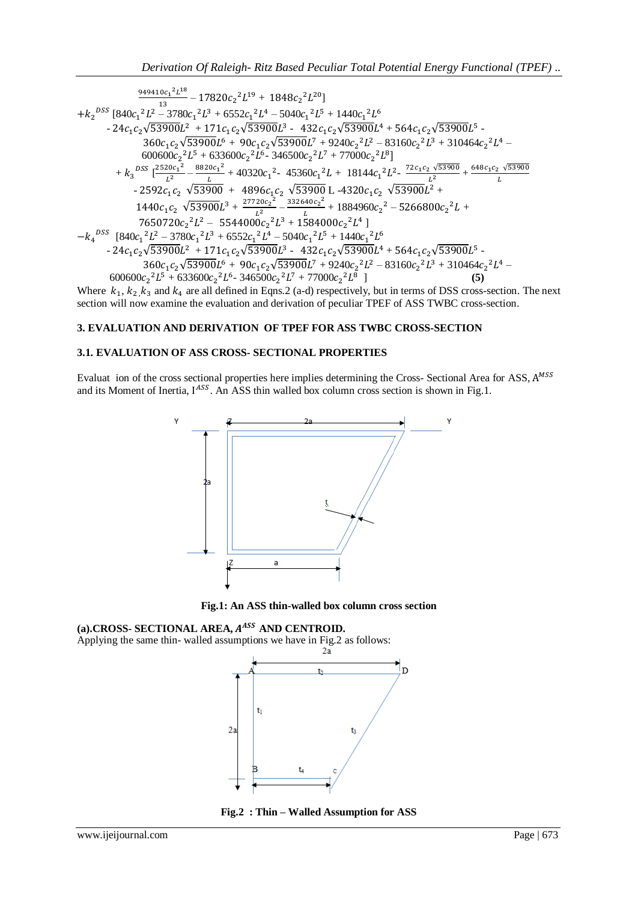$$
+ k_2^{DSS} \left[840c_1^2L^1e^8 - 17820c_2^2L^{19} + 1848c_2^2L^{20}\right] + k_2^{DSS} \left[840c_1^2L^2 - 3780c_1^2L^3 + 6552c_1^2L^4 - 5040c_1^2L^5 + 1440c_1^2L^6 \right. \\ \left. - 24c_1c_2\sqrt{53900}L^2 + 171c_1c_2\sqrt{53900}L^3 - 432c_1c_2\sqrt{53900}L^4 + 564c_1c_2\sqrt{53900}L^5 - \\ \left. 360c_1c_2\sqrt{53900}L^6 + 90c_1c_2\sqrt{53900}L^7 + 9240c_2^2L^2 - 83160c_2^2L^3 + 310464c_2^2L^4 - \\ \left. 600600c_2^2L^5 + 633600c_2^2L^6 - 346500c_2^2L^7 + 77000c_2^2L^8\right] + k_3^{DSS} \left[ \frac{2520c_1^2}{L^2} - \frac{8820c_1^2}{L} + 40320c_1^2 - 45360c_1^2L + 18144c_1^2L^2 - \frac{72c_1c_2\sqrt{53900}}{L^2} + \\ \left. - 2592c_1c_2\sqrt{53900} + 4896c_1c_2\sqrt{53900}L - 4320c_1c_2\sqrt{53900}L^2 + \\ \left. 1440c_1c_2\sqrt{53900}L^3 + \frac{27720c_2^2}{L^2} - \frac{332640c_2^2}{L} + 1884960c_2^2 - 5266800c_2^2L + \\ \left. 7650720c_2^2L^2 - 5544000c_2^2L^3 + 1584000c_2^2L^4\right] - k_4^{DSS} \left[840c_1^2
$$

Where  $k_1, k_2, k_3$  and  $k_4$  are all defined in Eqns. 2 (a-d) respectively, but in terms of DSS cross-section. The next section will now examine the evaluation and derivation of peculiar TPEF of ASS TWBC cross-section.

## **3. EVALUATION AND DERIVATION OF TPEF FOR ASS TWBC CROSS-SECTION**

## **3.1. EVALUATION OF ASS CROSS- SECTIONAL PROPERTIES**

Evaluat ion of the cross sectional properties here implies determining the Cross- Sectional Area for ASS,  $A^M$ and its Moment of Inertia, IASS. An ASS thin walled box column cross section is shown in Fig.1.



**Fig.1: An ASS thin-walled box column cross section**

## (a).CROSS- SECTIONAL AREA,  $A^{ASS}$  AND CENTROID.

Applying the same thin- walled assumptions we have in Fig.2 as follows:<br> $\frac{2a}{a}$ 



**Fig.2 : Thin – Walled Assumption for ASS**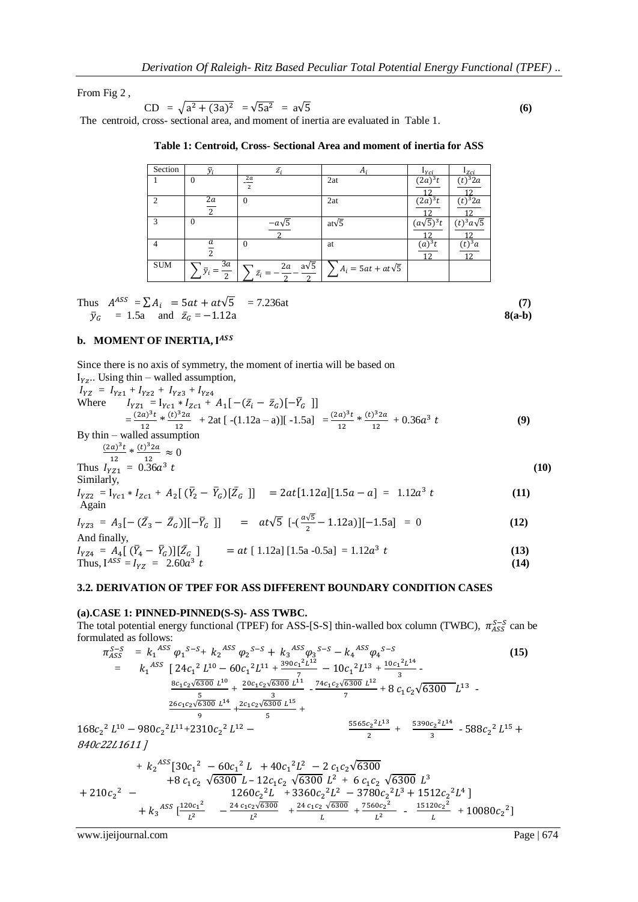From Fig 2 ,

CD = 
$$
\sqrt{a^2 + (3a)^2}
$$
 =  $\sqrt{5a^2}$  =  $a\sqrt{5}$  (6)

The centroid, cross- sectional area, and moment of inertia are evaluated in Table 1.

| Section       | ᠊ᢌ                                  | $\bar{Z}_i$                         | A                        | $1_{Yci}$                | $_{Izci}$                    |
|---------------|-------------------------------------|-------------------------------------|--------------------------|--------------------------|------------------------------|
|               | $\theta$                            | $2\boldsymbol{a}$<br>$\overline{2}$ | 2at                      | $(2a)^3t$<br>12          | $(t)^3 2a$<br>1 າ            |
| $\mathcal{D}$ | 2a<br>$\overline{2}$                | $\Omega$                            | 2at                      | $(2a)^3t$                | $(t)^3 2a$                   |
| $\mathcal{R}$ | $\theta$                            | $-a\sqrt{5}$                        | at $\sqrt{5}$            | $(a\sqrt{5})^3t$         | $(t)^3 a\sqrt{5}$            |
| 4             | а<br>2                              | $\Omega$                            | at                       | (a) <sup>3</sup> t<br>12 | $(t)^3 a$<br>12 <sub>1</sub> |
| <b>SUM</b>    | 3a<br>$\bar{y}_i$<br>$\overline{2}$ | $a\sqrt{5}$<br>2a<br>$\bar{z_i}$    | $A_i = 5at + at\sqrt{5}$ |                          |                              |

| Table 1: Centroid, Cross- Sectional Area and moment of inertia for ASS |  |
|------------------------------------------------------------------------|--|
|------------------------------------------------------------------------|--|

Thus 
$$
A^{ASS} = \sum A_i = 5at + at\sqrt{5} = 7.236at
$$
 (7)  
\n $\bar{y}_G = 1.5a$  and  $\bar{z}_G = -1.12a$  (7)  
\n8(a-b)

#### **b. MOMENT OF INERTIA,**

Since there is no axis of symmetry, the moment of inertia will be based on

 $I_{\gamma z}$ .. Using thin – walled assumption,  $I_{YZ} = I_{YZ1} + I_{YZ2} + I_{YZ3} +$ Where  $I_{YZ1} = I_{Yc1} * I_{Zc1} + A_1[-(\bar{z}_i - \bar{z}_G)] - \bar{Y}_G$  $=\frac{(2a)^3}{12}$  $rac{a)^3t}{12} * \frac{(t)^3}{12}$  $\frac{1}{12}$  + 2at [-(1.12a – a)][-1.5a] =  $\frac{(2a)^3}{12}$  $\frac{a)^3t}{12} * \frac{(t)^3}{12}$  $\frac{f^2 Z a}{12} + 0.36a^3$  **(9)** By thin – walled assumption  $(2a)^3$  $rac{a)^3t}{12} * \frac{(t)^3}{12}$  $\frac{1}{12} \approx 0$ Thus  $I_{YZ1} = 0.36a^3$  $t \tag{10}$ Similarly,  $I_{YZ2} = I_{Yc1} * I_{Zc1} + A_2[(\bar{Y}_2 - \bar{Y}_G)[\bar{Z}_G]] = 2at[1.12a][1.5a - a] = 1.12a^3$  **(11)** Again  $I_{YZ3} = A_3[-(\bar{Z}_3 - \bar{Z}_G)][-\bar{Y}_G]]$  =  $at\sqrt{5} [-(\frac{a\sqrt{3}}{2} - 1.12a)][-1.5a] = 0$  (12) And finally,  $I_{VZ4} = A_4 [ (\bar{Y}_4 - \bar{Y}_G)][\bar{Z}_G ]$   $= at [1.12a][1.5a - 0.5a] = 1.12a^3$ **(13)**

Thus, 
$$
I^{ASS} = I_{YZ} = 2.60a^3 t
$$
 (14)

### **3.2. DERIVATION OF TPEF FOR ASS DIFFERENT BOUNDARY CONDITION CASES**

#### **(a).CASE 1: PINNED-PINNED(S-S)- ASS TWBC.**

The total potential energy functional (TPEF) for ASS-[S-S] thin-walled box column (TWBC),  $\pi_{ASS}^{S-S}$  can be formulated as follows:

$$
\pi_{ASS}^{S-S} = k_1{}^{ASS} \varphi_1{}^{S-S} + k_2{}^{ASS} \varphi_2{}^{S-S} + k_3{}^{ASS} \varphi_3{}^{S-S} - k_4{}^{ASS} \varphi_4{}^{S-S}
$$
\n
$$
= k_1{}^{ASS} \left[ 24c_1{}^2 L^{10} - 60c_1{}^2 L^{11} + \frac{390c_1{}^2 L^{12}}{7} - 10c_1{}^2 L^{13} + \frac{10c_1{}^2 L^{14}}{3} - \frac{8c_1c_2\sqrt{6300} L^{10}}{5} + \frac{20c_1c_2\sqrt{6300} L^{11}}{5} + \frac{74c_1c_2\sqrt{6300} L^{12}}{7} + 8c_1c_2\sqrt{6300} L^{13}
$$
\n
$$
= \frac{26c_1c_2\sqrt{6300} L^{14}}{9} + \frac{2c_1c_2\sqrt{6300} L^{15}}{5} + \frac{16c_1{}^2 L^{13}}{2} + \frac{16c_1c_2\sqrt{6300} L^{14}}{2} + \frac{3390c_2{}^2 L^{14}}{3} - 588c_2{}^2 L^{15} + \frac{5390c_2{}^2 L^{14}}{3} - 588c_2{}^2 L^{15} + \frac{5390c_2{}^2 L^{14}}{3} - 588c_2{}^2 L^{15} + \frac{16c_2{}^2 L^{16}}{3} + \frac{16c_2{}^2 L^{17}}{3} + \frac{5390c_2{}^2 L^{14}}{3} - 588c_2{}^2 L^{15} + \frac{16c_2{}^2 L^{18}}{3} + \frac{16c_2{}^2 L^{19}}{3} - 588c_2{}^2 L^{15} + \frac{16c_2{}^2 L^{10}}{3} - 588c_2{}^2 L^{15} + \frac{16c_2{}^2 L^{16}}{3} + \frac{16c_2{}^2 L^{17}}{3} - 588c_2{}^2 L^{18} + \frac{16c_2{}^2 L^{18}}
$$

$$
+ k_2 \frac{\text{ASS}}{30c_1^2} - 60c_1^2 L + 40c_1^2 L^2 - 2 c_1 c_2 \sqrt{6300}
$$
  
+8 c<sub>1</sub>c<sub>2</sub>  $\sqrt{6300} L - 12c_1 c_2 \sqrt{6300} L^2 + 6 c_1 c_2 \sqrt{6300} L^3$   
+210c<sub>2</sub><sup>2</sup> - 1260c<sub>2</sub><sup>2</sup>L + 3360c<sub>2</sub><sup>2</sup>L<sup>2</sup> - 3780c<sub>2</sub><sup>2</sup>L<sup>3</sup> + 1512c<sub>2</sub><sup>2</sup>L<sup>4</sup>]  
+ k<sub>3</sub><sup>ASS</sup>  $\left[\frac{120c_1^2}{L^2} - \frac{24 c_1 c_2 \sqrt{6300}}{L^2} + \frac{24 c_1 c_2 \sqrt{6300}}{L} + \frac{7560c_2^2}{L^2} - \frac{15120c_2^2}{L} + 10080c_2^2\right]$ 

www.ijeijournal.com Page | 674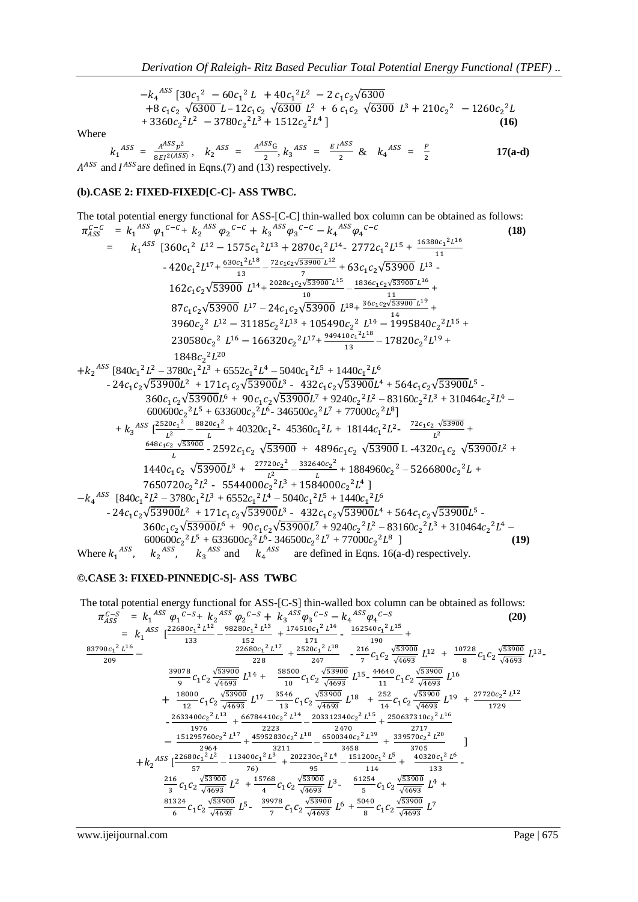$^{ASS}$  [30c, <sup>2</sup> = 60c, <sup>2</sup> I + 40c, <sup>2</sup>I<sup>2</sup>  $+8 c_1 c_2 \sqrt{6300} L - 12 c_1 c_2 \sqrt{6300} L^2 + 6 c_1 c_2 \sqrt{6300} L^3 + 210 c_2^2 - 1260 c_2^2$  $+ 3360c_2^2L^2 - 3780c_2^2L^3 + 1512c_2^2L^4$ ] (16)

Where

$$
k_1^{ASS} = \frac{A^{ASS}p^2}{8EI^2(ASS)}, \quad k_2^{ASS} = \frac{A^{ASS}G}{2}, k_3^{ASS} = \frac{EI^{ASS}}{2} \& \quad k_4^{ASS} = \frac{P}{2}
$$
17(a-d)  

$$
A^{ASS} \text{ and } I^{ASS} \text{ are defined in Eqns. (7) and (13) respectively.}
$$

#### **(b).CASE 2: FIXED-FIXED[C-C]- ASS TWBC.**

The total potential energy functional for ASS-
$$
[C-C]
$$
 thin-walled box column can be obtained as follows:  
\n
$$
\pi_{AS}^{c-C} = k_1^{ASS} \varphi_1^{c-C} + k_2^{ASS} \varphi_2^{c-C} + k_3^{ASS} \varphi_3^{c-C} - k_4^{ASS} \varphi_4^{c-C}
$$
\n
$$
= k_1^{ASS} [360c_1^2 L^{12} - 1575c_1^2 L^{13} + 2870c_1^2 L^{14} - 2772c_1^2 L^{15} + \frac{16380c_1^2 L^{16}}{11}
$$
\n
$$
-420c_1^2 L^{17} + \frac{630c_1^2 L^{18}}{13} - \frac{72c_1c_2\sqrt{53900} L^{18}}{10} - \frac{1836c_1c_2\sqrt{53900} L^{18}}{10} - \frac{1836c_1c_2\sqrt{53900} L^{16}}{11}
$$
\n
$$
87c_1c_2\sqrt{53900} L^{14} - 24c_1c_2\sqrt{53900} L^{18} + \frac{36c_1c_2\sqrt{53900} L^{16}}{10} + \frac{10}{10} + \frac{36c_1c_2\sqrt{53900} L^{16}}{11}
$$
\n
$$
87c_1c_2\sqrt{53900} L^{17} - 24c_1c_2\sqrt{53900} L^{18} + \frac{36c_1c_2\sqrt{53900} L^{16}}{11}
$$
\n
$$
87c_1c_2\sqrt{53900} L^{17} - 24c_1c_2\sqrt{53900} L^{18} - \frac{1836c_1c_2\sqrt{53900} L^{16}}{11}
$$
\n
$$
80c_2^2 L^{16} - 166320c_2^2 L^{13} + 105490c_2^2 L^{14} - 1995840c_2^2 L^{15} + 230580c_2^2 L^{16} - 166320c_2^2 L^{13} + 10320c_
$$

## **©.CASE 3: FIXED-PINNED[C-S]- ASS TWBC**

The total potential energy functional for ASS-[C-S] thin-walled box column can be obtained as follows:  
\n
$$
\pi_{ASS}^{C-S} = k_1{}^{ASS} \varphi_1{}^{C-S} + k_2{}^{ASS} \varphi_2{}^{C-S} + k_3{}^{ASS} \varphi_3{}^{C-S} - k_4{}^{ASS} \varphi_4{}^{C-S}
$$
\n
$$
= k_1{}^{ASS} \left[\frac{22680c_1^2 L^{12}}{133} - \frac{98280c_1^2 L^{13}}{152} + \frac{174510c_1^2 L^{14}}{171} - \frac{162540c_1^2 L^{15}}{190} + \frac{162540c_1^2 L^{15}}{190} + \frac{22680c_1^2 L^{14}}{928} - \frac{21660c_1^2 L^{17}}{247} + \frac{45520c_1^2 L^{18}}{247} - \frac{216}{7} c_1 c_2 \frac{\sqrt{53900}}{\sqrt{4693}} L^{12} + \frac{10728}{8} c_1 c_2 \frac{\sqrt{53900}}{\sqrt{4693}} L^{13} - \frac{39078}{9} c_1 c_2 \frac{\sqrt{53900}}{\sqrt{4693}} L^{14} + \frac{58500}{10} c_1 c_2 \frac{\sqrt{53900}}{\sqrt{4693}} L^{15} - \frac{44640}{11} c_1 c_2 \frac{\sqrt{53900}}{\sqrt{4693}} L^{16} + \frac{18000}{122} c_1 c_2 \frac{\sqrt{53900}}{\sqrt{4693}} L^{17} - \frac{3546}{13} c_1 c_2 \frac{\sqrt{53900}}{\sqrt{4693}} L^{18} + \frac{252}{14} c_1 c_2 \frac{\sqrt{53900}}{\sqrt{4693}} L^{19} + \frac{27720c_2^2 L^{12}}{1729} - \frac{2633400c_2^2 L^{13}}{1976} + \frac{66784410c_2^2 L^{14}}{2223} - \frac{2470}{2470} + \frac{255260
$$

www.ijeijournal.com Page | 675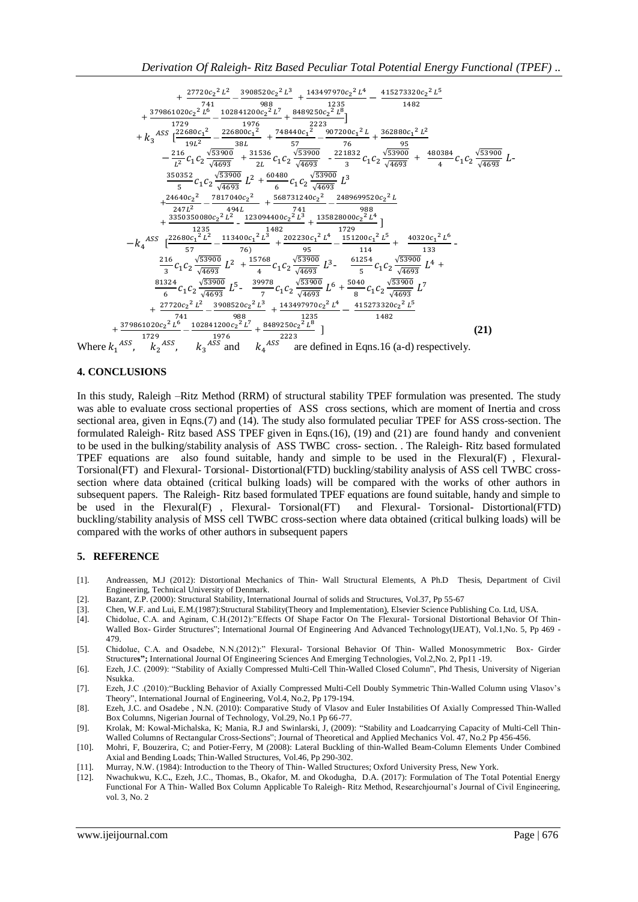$$
+\frac{27720c_2^2L^2}{741}-\frac{3908520c_2^2L^3}{988}+\frac{143497970c_2^2L^4}{1235}-\frac{415273320c_2^2L^5}{1482}+\frac{379861020c_2^2L^6}{1729}-\frac{102841200c_2^2L^7}{1976}+\frac{8489250c_2^2L^8}{2223}\n+ k_3 \frac{122680c_1^2}{19L^2}-\frac{226800c_1^2}{38L}+\frac{748440c_1^2^2}{57}-\frac{907200c_1^2L}{76}+\frac{362880c_1^2L^2}{36280c_1^2L^2}\n- \frac{216}{L^2}c_1c_2\frac{\sqrt{53900}}{\sqrt{4693}}+\frac{31536}{2L}c_1c_2\frac{\sqrt{53900}}{\sqrt{4693}}-\frac{221832}{3}c_1c_2\frac{\sqrt{53900}}{\sqrt{4693}}+\frac{480384}{4}c_1c_2\frac{\sqrt{53900}}{\sqrt{4693}}L^2+\frac{24640c_2^2}{247L^2}-\frac{7817040c_2^2}{2494L}+\frac{5668731240c_2^2}{6} -\frac{2489699520c_2^2L}{1235} \n+ \frac{24640c_2^2}{247L^2}-\frac{7817040c_2^2}{2494L}+\frac{568731240c_2^2}{2415}+\frac{3153828000c_2^2L^4}{151200c_1^2L^5}]\n- k_4 \frac{485 \left[\frac{22680c_1^2L^2}{57}-\frac{113300c_1^2L^8}{76}\right] +\frac{1325 \left[ \frac{221832}{44693} \right] L^2}{76}+\frac{1482 \left[ \frac{221832}{44693} \right]
$$

Where  $k_1^A$  $\overline{A}$  $\overline{A}$ ,  $k_{2}$ ,  $k_{3}$  and are defined in Eqns.16 (a-d) respectively.

#### **4. CONCLUSIONS**

In this study, Raleigh –Ritz Method (RRM) of structural stability TPEF formulation was presented. The study was able to evaluate cross sectional properties of ASS cross sections, which are moment of Inertia and cross sectional area, given in Eqns.(7) and (14). The study also formulated peculiar TPEF for ASS cross-section. The formulated Raleigh- Ritz based ASS TPEF given in Eqns.(16), (19) and (21) are found handy and convenient to be used in the bulking/stability analysis of ASS TWBC cross- section. . The Raleigh- Ritz based formulated TPEF equations are also found suitable, handy and simple to be used in the Flexural(F) , Flexural-Torsional(FT) and Flexural- Torsional- Distortional(FTD) buckling/stability analysis of ASS cell TWBC crosssection where data obtained (critical bulking loads) will be compared with the works of other authors in subsequent papers. The Raleigh- Ritz based formulated TPEF equations are found suitable, handy and simple to be used in the Flexural(F) , Flexural- Torsional(FT) and Flexural- Torsional- Distortional(FTD) buckling/stability analysis of MSS cell TWBC cross-section where data obtained (critical bulking loads) will be compared with the works of other authors in subsequent papers

#### **5. REFERENCE**

- [1]. Andreassen, M.J (2012): Distortional Mechanics of Thin- Wall Structural Elements, A Ph.D Thesis, Department of Civil Engineering, Technical University of Denmark.
- [2]. Bazant, Z.P. (2000): Structural Stability, International Journal of solids and Structures, Vol.37, Pp 55-67
- [3]. Chen, W.F. and Lui, E.M.(1987):Structural Stability(Theory and Implementation), Elsevier Science Publishing Co. Ltd, USA.
- [4]. Chidolue, C.A. and Aginam, C.H.(2012):"Effects Of Shape Factor On The Flexural- Torsional Distortional Behavior Of Thin-Walled Box- Girder Structures"; International Journal Of Engineering And Advanced Technology(IJEAT), Vol.1,No. 5, Pp 469 - 479.
- [5]. Chidolue, C.A. and Osadebe, N.N.(2012):" Flexural- Torsional Behavior Of Thin- Walled Monosymmetric Box- Girder Structure**s";** International Journal Of Engineering Sciences And Emerging Technologies, Vol.2,No. 2, Pp11 -19.
- [6]. Ezeh, J.C. (2009): "Stability of Axially Compressed Multi-Cell Thin-Walled Closed Column", Phd Thesis, University of Nigerian Nsukka.
- [7]. Ezeh, J.C .(2010):"Buckling Behavior of Axially Compressed Multi-Cell Doubly Symmetric Thin-Walled Column using Vlasov's Theory", International Journal of Engineering, Vol.4, No.2, Pp 179-194.
- [8]. Ezeh, J.C. and Osadebe , N.N. (2010): Comparative Study of Vlasov and Euler Instabilities Of Axially Compressed Thin-Walled Box Columns, Nigerian Journal of Technology, Vol.29, No.1 Pp 66-77.
- [9]. Krolak, M: Kowal-Michalska, K; Mania, R.J and Swinlarski, J, (2009): "Stability and Loadcarrying Capacity of Multi-Cell Thin-Walled Columns of Rectangular Cross-Sections"; Journal of Theoretical and Applied Mechanics Vol. 47, No.2 Pp 456-456.
- [10]. Mohri, F, Bouzerira, C; and Potier-Ferry, M (2008): Lateral Buckling of thin-Walled Beam-Column Elements Under Combined Axial and Bending Loads; Thin-Walled Structures, Vol.46, Pp 290-302.
- [11]. Murray, N.W. (1984): Introduction to the Theory of Thin- Walled Structures; Oxford University Press, New York.
- [12]. Nwachukwu, K.C**.**, Ezeh, J.C., Thomas, B., Okafor, M. and Okodugha, D.A. (2017): Formulation of The Total Potential Energy Functional For A Thin- Walled Box Column Applicable To Raleigh- Ritz Method, Researchjournal's Journal of Civil Engineering, vol. 3, No. 2